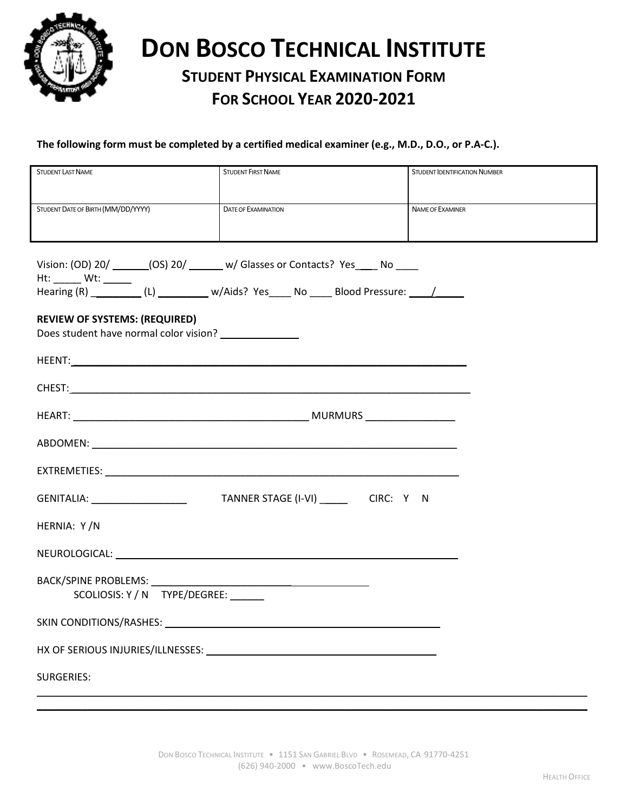

# **DON BOSCO TECHNICAL INSTITUTE**

# **STUDENT PHYSICAL EXAMINATION FORM FOR SCHOOL YEAR 2020-2021**

## **The following form must be completed by a certified medical examiner (e.g., M.D., D.O., or P.A-C.).**

| <b>STUDENT LAST NAME</b>                                                                      | <b>STUDENT FIRST NAME</b>  | <b>STUDENT IDENTIFICATION NUMBER</b> |
|-----------------------------------------------------------------------------------------------|----------------------------|--------------------------------------|
| STUDENT DATE OF BIRTH (MM/DD/YYYY)                                                            | <b>DATE OF EXAMINATION</b> | NAME OF EXAMINER                     |
| Vision: (OD) 20/ _______(OS) 20/ _______ w/ Glasses or Contacts? Yes _____ No ____            |                            |                                      |
| <b>REVIEW OF SYSTEMS: (REQUIRED)</b><br>Does student have normal color vision? ______________ |                            |                                      |
|                                                                                               |                            |                                      |
|                                                                                               |                            |                                      |
|                                                                                               |                            |                                      |
|                                                                                               |                            |                                      |
|                                                                                               |                            |                                      |
|                                                                                               |                            |                                      |
| HERNIA: Y/N                                                                                   |                            |                                      |
|                                                                                               |                            |                                      |
| SCOLIOSIS: Y / N TYPE/DEGREE:                                                                 |                            |                                      |
|                                                                                               |                            |                                      |
|                                                                                               |                            |                                      |
| <b>SURGERIES:</b>                                                                             |                            |                                      |

\_\_\_\_\_\_\_\_\_\_\_\_\_\_\_\_\_\_\_\_\_\_\_\_\_\_\_\_\_\_\_\_\_\_\_\_\_\_\_\_\_\_\_\_\_\_\_\_\_\_\_\_\_\_\_\_\_\_\_\_\_\_\_\_\_\_\_\_\_\_\_\_\_\_\_\_\_\_\_\_\_\_\_\_\_\_\_\_\_\_\_\_\_\_\_\_\_\_